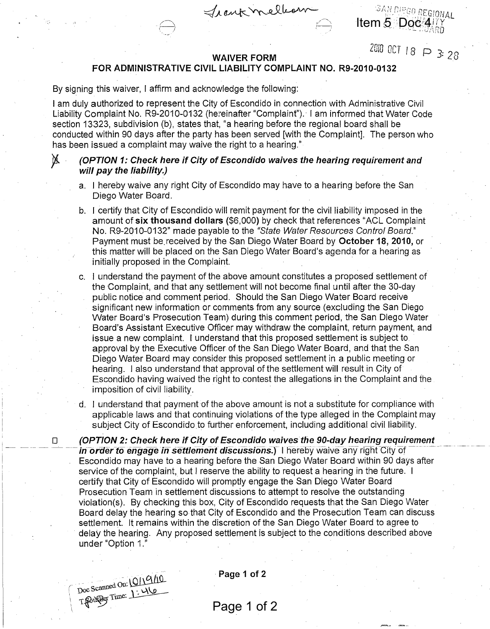**Item 5 Doc 417Y** 

# **WAIVER FORM**  $\angle$  USI UCT 18  $\Box$  3: 28

Trankmellion

### **FOR ADMINISTRATIVE CIVIL LIABILITY COMPLAINT NO. R9-2010-0132**

By signing this waiver, I affirm and acknowledge the following:

I am duly authorized to represent the City of Escondido in connection with Administrative Civil Liability Complaint No. R9-2010-0132 (hereinafter "Complaint"). I am informed that Water Code section 13323, subdivision (b), states that, "a hearing before the regional board shall be conducted within 90 days after the party has been served [with the Complaint]. The person who has been issued a complaint may waive the right to a hearing."

## }{ **(OPTION 1: Check here if City of Escondido waives the hearing requirement and will pay the liability.)**

- a. I hereby waive any right City of Escondido may have to a hearing before the San Diego Water Board.
- b. I certify that City of Escondido will remit payment for the civil liability imposed in the amount of **six thousand dollars** (\$6,000) by check that references "ACL Complaint No. R9-2010-0132" made payable to the "State Water Resources Control Board." Payment must be.received by the San Diego Water Board by **October 18, 2010,** or this matter will be placed on the San Diego Water Board's agenda for a hearing as initially proposed in the Complaint.
- c. I understand the payment of the above amount constitutes a proposed settlement of the Complaint, and that any settlement will not become final until after the 30-day public notice and comment period. Should the San Diego Water Board receive significant new information or comments from any source (excluding the San Diego Water Board's Prosecution Team) during this comment period, the San Diego Water Board's Assistant Executive Officer may withdraw the complaint, return payment, and issue a new complaint. I understand that this proposed settlement is subject to approval by the Executive Officer of the San Diego Water Board, and that the San Diego Water Board may consider this proposed settlement in a public meeting or hearing. I also understand that approval of the settlement will result in City of Escondido having waived the right to contest the allegations in the Complaint and the imposition of civil liability.
- d. I understand that payment of the above amount is not a substitute for compliance with applicable laws and that continuing violations of the type alleged in the Complaint may subject City of Escondido to further enforcement, including additional civil liability.

□ (OPTION 2: Check here if City of Escondido waives the 90-day hearing requirement<br>— in order to engage in settlement discussions.) I hereby waive any right City of Escondido may have to a hearing before the San Diego Water Board within 90 days after service of the complaint, but I reserve the ability to request a hearing in the future. I certify that City of Escondido will promptly engage the San Diego Water Board Prosecution Team in settlement discussions to attempt to resolve the outstanding violation(s). By checking this box, City of Escondido requests that the San Diego Water Board delay the hearing so that City of Escondido and the Prosecution Team can discuss settlement. It remains within the discretion of the San Diego Water Board to agree to delay the hearing. Any proposed settlement is subject to the conditions described above under "Option 1."



**Page 1 of 2** 

# Page 1 of 2